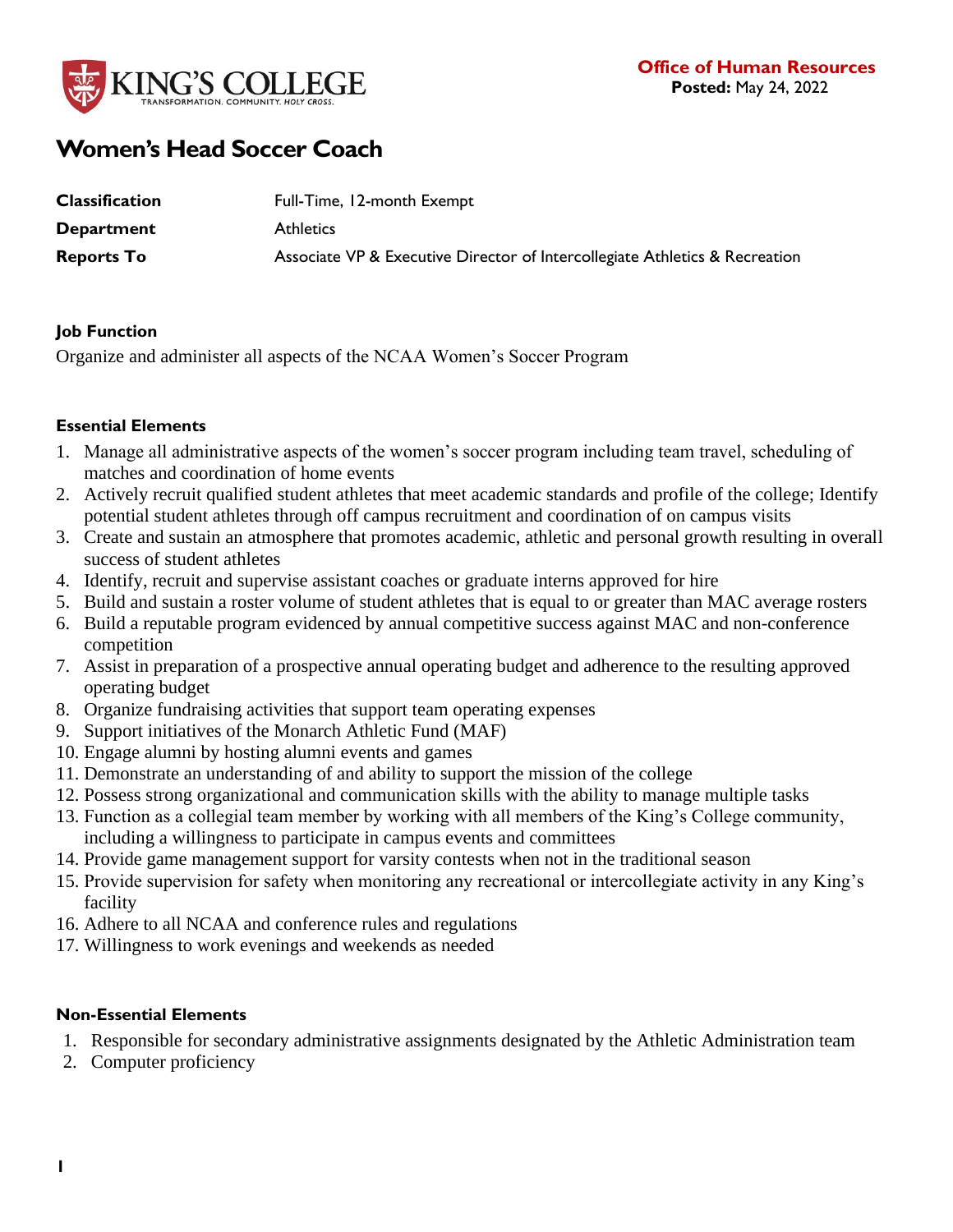

# **Women's Head Soccer Coach**

| <b>Classification</b> | Full-Time, 12-month Exempt                                                  |
|-----------------------|-----------------------------------------------------------------------------|
| <b>Department</b>     | <b>Athletics</b>                                                            |
| <b>Reports To</b>     | Associate VP & Executive Director of Intercollegiate Athletics & Recreation |

### **Job Function**

Organize and administer all aspects of the NCAA Women's Soccer Program

## **Essential Elements**

- 1. Manage all administrative aspects of the women's soccer program including team travel, scheduling of matches and coordination of home events
- 2. Actively recruit qualified student athletes that meet academic standards and profile of the college; Identify potential student athletes through off campus recruitment and coordination of on campus visits
- 3. Create and sustain an atmosphere that promotes academic, athletic and personal growth resulting in overall success of student athletes
- 4. Identify, recruit and supervise assistant coaches or graduate interns approved for hire
- 5. Build and sustain a roster volume of student athletes that is equal to or greater than MAC average rosters
- 6. Build a reputable program evidenced by annual competitive success against MAC and non-conference competition
- 7. Assist in preparation of a prospective annual operating budget and adherence to the resulting approved operating budget
- 8. Organize fundraising activities that support team operating expenses
- 9. Support initiatives of the Monarch Athletic Fund (MAF)
- 10. Engage alumni by hosting alumni events and games
- 11. Demonstrate an understanding of and ability to support the mission of the college
- 12. Possess strong organizational and communication skills with the ability to manage multiple tasks
- 13. Function as a collegial team member by working with all members of the King's College community,
- including a willingness to participate in campus events and committees
- 14. Provide game management support for varsity contests when not in the traditional season
- 15. Provide supervision for safety when monitoring any recreational or intercollegiate activity in any King's facility
- 16. Adhere to all NCAA and conference rules and regulations
- 17. Willingness to work evenings and weekends as needed

# **Non-Essential Elements**

- 1. Responsible for secondary administrative assignments designated by the Athletic Administration team
- 2. Computer proficiency